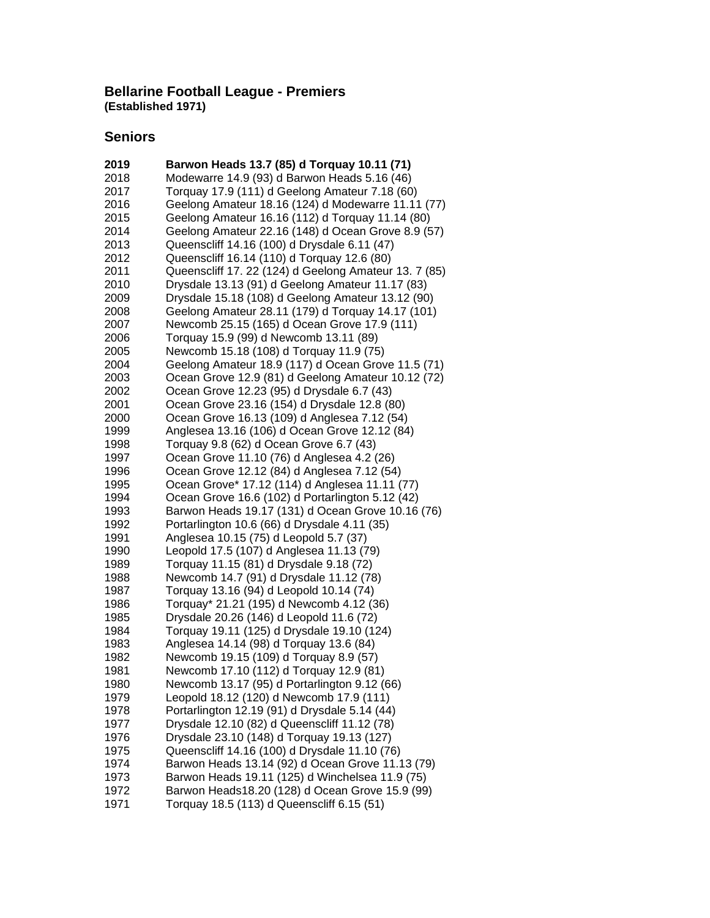#### **Bellarine Football League - Premiers (Established 1971)**

## **Seniors**

| 2019         | Barwon Heads 13.7 (85) d Torquay 10.11 (71)                                            |
|--------------|----------------------------------------------------------------------------------------|
| 2018         | Modewarre 14.9 (93) d Barwon Heads 5.16 (46)                                           |
| 2017         | Torquay 17.9 (111) d Geelong Amateur 7.18 (60)                                         |
| 2016         | Geelong Amateur 18.16 (124) d Modewarre 11.11 (77)                                     |
| 2015         | Geelong Amateur 16.16 (112) d Torquay 11.14 (80)                                       |
| 2014         | Geelong Amateur 22.16 (148) d Ocean Grove 8.9 (57)                                     |
| 2013         | Queenscliff 14.16 (100) d Drysdale 6.11 (47)                                           |
| 2012         | Queenscliff 16.14 (110) d Torquay 12.6 (80)                                            |
| 2011         | Queenscliff 17. 22 (124) d Geelong Amateur 13. 7 (85)                                  |
| 2010         | Drysdale 13.13 (91) d Geelong Amateur 11.17 (83)                                       |
| 2009         | Drysdale 15.18 (108) d Geelong Amateur 13.12 (90)                                      |
| 2008         | Geelong Amateur 28.11 (179) d Torquay 14.17 (101)                                      |
| 2007         | Newcomb 25.15 (165) d Ocean Grove 17.9 (111)                                           |
| 2006         | Torquay 15.9 (99) d Newcomb 13.11 (89)                                                 |
| 2005         | Newcomb 15.18 (108) d Torquay 11.9 (75)                                                |
| 2004         | Geelong Amateur 18.9 (117) d Ocean Grove 11.5 (71)                                     |
| 2003         | Ocean Grove 12.9 (81) d Geelong Amateur 10.12 (72)                                     |
| 2002         | Ocean Grove 12.23 (95) d Drysdale 6.7 (43)                                             |
| 2001         | Ocean Grove 23.16 (154) d Drysdale 12.8 (80)                                           |
| 2000         | Ocean Grove 16.13 (109) d Anglesea 7.12 (54)                                           |
| 1999         | Anglesea 13.16 (106) d Ocean Grove 12.12 (84)                                          |
| 1998         | Torquay 9.8 (62) d Ocean Grove 6.7 (43)                                                |
| 1997         | Ocean Grove 11.10 (76) d Anglesea 4.2 (26)                                             |
| 1996         | Ocean Grove 12.12 (84) d Anglesea 7.12 (54)                                            |
| 1995         | Ocean Grove* 17.12 (114) d Anglesea 11.11 (77)                                         |
| 1994         | Ocean Grove 16.6 (102) d Portarlington 5.12 (42)                                       |
| 1993         | Barwon Heads 19.17 (131) d Ocean Grove 10.16 (76)                                      |
| 1992         | Portarlington 10.6 (66) d Drysdale 4.11 (35)                                           |
| 1991         | Anglesea 10.15 (75) d Leopold 5.7 (37)                                                 |
| 1990         | Leopold 17.5 (107) d Anglesea 11.13 (79)                                               |
| 1989         | Torquay 11.15 (81) d Drysdale 9.18 (72)                                                |
| 1988         | Newcomb 14.7 (91) d Drysdale 11.12 (78)                                                |
| 1987         | Torquay 13.16 (94) d Leopold 10.14 (74)                                                |
|              |                                                                                        |
| 1986         | Torquay* 21.21 (195) d Newcomb 4.12 (36)                                               |
| 1985         | Drysdale 20.26 (146) d Leopold 11.6 (72)<br>Torquay 19.11 (125) d Drysdale 19.10 (124) |
| 1984<br>1983 |                                                                                        |
|              | Anglesea 14.14 (98) d Torquay 13.6 (84)                                                |
| 1982         | Newcomb 19.15 (109) d Torquay 8.9 (57)                                                 |
| 1981         | Newcomb 17.10 (112) d Torquay 12.9 (81)                                                |
| 1980         | Newcomb 13.17 (95) d Portarlington 9.12 (66)                                           |
| 1979         | Leopold 18.12 (120) d Newcomb 17.9 (111)                                               |
| 1978         | Portarlington 12.19 (91) d Drysdale 5.14 (44)                                          |
| 1977         | Drysdale 12.10 (82) d Queenscliff 11.12 (78)                                           |
| 1976         | Drysdale 23.10 (148) d Torquay 19.13 (127)                                             |
| 1975         | Queenscliff 14.16 (100) d Drysdale 11.10 (76)                                          |
| 1974         | Barwon Heads 13.14 (92) d Ocean Grove 11.13 (79)                                       |
| 1973         | Barwon Heads 19.11 (125) d Winchelsea 11.9 (75)                                        |
| 1972         | Barwon Heads18.20 (128) d Ocean Grove 15.9 (99)                                        |
| 1971         | Torquay 18.5 (113) d Queenscliff 6.15 (51)                                             |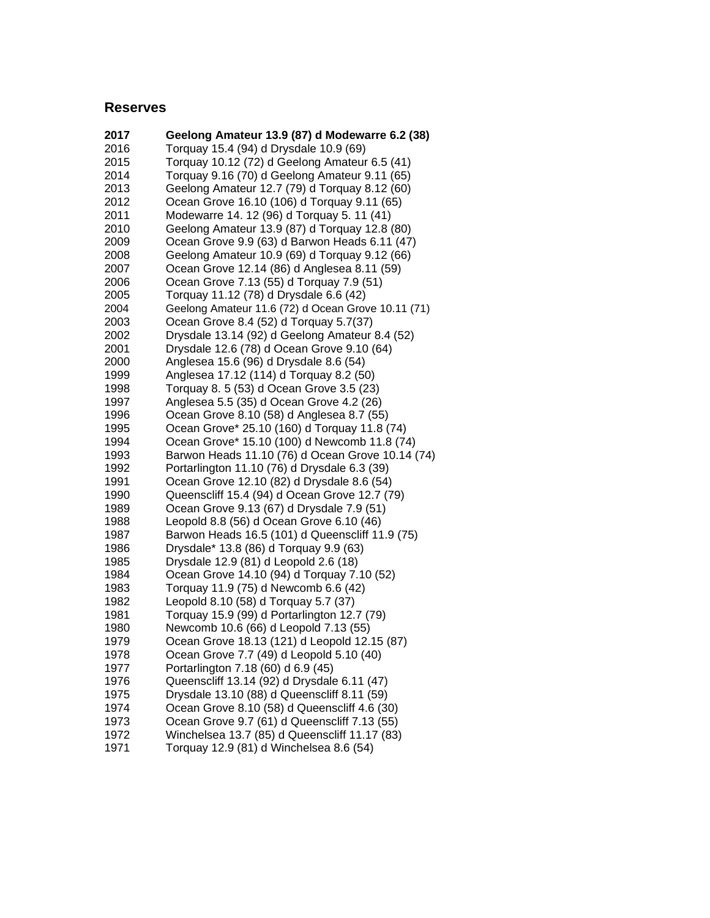### **Reserves**

| 2017 | Geelong Amateur 13.9 (87) d Modewarre 6.2 (38)     |
|------|----------------------------------------------------|
| 2016 | Torquay 15.4 (94) d Drysdale 10.9 (69)             |
| 2015 | Torquay 10.12 (72) d Geelong Amateur 6.5 (41)      |
| 2014 | Torquay 9.16 (70) d Geelong Amateur 9.11 (65)      |
| 2013 | Geelong Amateur 12.7 (79) d Torquay 8.12 (60)      |
| 2012 | Ocean Grove 16.10 (106) d Torquay 9.11 (65)        |
| 2011 | Modewarre 14. 12 (96) d Torquay 5. 11 (41)         |
| 2010 | Geelong Amateur 13.9 (87) d Torquay 12.8 (80)      |
| 2009 | Ocean Grove 9.9 (63) d Barwon Heads 6.11 (47)      |
| 2008 | Geelong Amateur 10.9 (69) d Torquay 9.12 (66)      |
| 2007 | Ocean Grove 12.14 (86) d Anglesea 8.11 (59)        |
| 2006 | Ocean Grove 7.13 (55) d Torquay 7.9 (51)           |
| 2005 | Torquay 11.12 (78) d Drysdale 6.6 (42)             |
| 2004 | Geelong Amateur 11.6 (72) d Ocean Grove 10.11 (71) |
| 2003 | Ocean Grove 8.4 (52) d Torquay 5.7(37)             |
| 2002 | Drysdale 13.14 (92) d Geelong Amateur 8.4 (52)     |
| 2001 | Drysdale 12.6 (78) d Ocean Grove 9.10 (64)         |
| 2000 | Anglesea 15.6 (96) d Drysdale 8.6 (54)             |
| 1999 | Anglesea 17.12 (114) d Torquay 8.2 (50)            |
| 1998 | Torquay 8. 5 (53) d Ocean Grove 3.5 (23)           |
| 1997 | Anglesea 5.5 (35) d Ocean Grove 4.2 (26)           |
| 1996 | Ocean Grove 8.10 (58) d Anglesea 8.7 (55)          |
| 1995 | Ocean Grove* 25.10 (160) d Torquay 11.8 (74)       |
| 1994 | Ocean Grove* 15.10 (100) d Newcomb 11.8 (74)       |
| 1993 | Barwon Heads 11.10 (76) d Ocean Grove 10.14 (74)   |
| 1992 | Portarlington 11.10 (76) d Drysdale 6.3 (39)       |
| 1991 | Ocean Grove 12.10 (82) d Drysdale 8.6 (54)         |
| 1990 | Queenscliff 15.4 (94) d Ocean Grove 12.7 (79)      |
| 1989 | Ocean Grove 9.13 (67) d Drysdale 7.9 (51)          |
| 1988 | Leopold 8.8 (56) d Ocean Grove 6.10 (46)           |
| 1987 | Barwon Heads 16.5 (101) d Queenscliff 11.9 (75)    |
| 1986 | Drysdale* 13.8 (86) d Torquay 9.9 (63)             |
| 1985 | Drysdale 12.9 (81) d Leopold 2.6 (18)              |
| 1984 | Ocean Grove 14.10 (94) d Torquay 7.10 (52)         |
| 1983 | Torquay 11.9 (75) d Newcomb 6.6 (42)               |
| 1982 | Leopold 8.10 (58) d Torquay 5.7 (37)               |
| 1981 | Torquay 15.9 (99) d Portarlington 12.7 (79)        |
| 1980 | Newcomb 10.6 (66) d Leopold 7.13 (55)              |
| 1979 | Ocean Grove 18.13 (121) d Leopold 12.15 (87)       |
| 1978 | Ocean Grove 7.7 (49) d Leopold 5.10 (40)           |
| 1977 | Portarlington 7.18 (60) d 6.9 (45)                 |
| 1976 | Queenscliff 13.14 (92) d Drysdale 6.11 (47)        |
| 1975 | Drysdale 13.10 (88) d Queenscliff 8.11 (59)        |
| 1974 | Ocean Grove 8.10 (58) d Queenscliff 4.6 (30)       |
| 1973 | Ocean Grove 9.7 (61) d Queenscliff 7.13 (55)       |
| 1972 | Winchelsea 13.7 (85) d Queenscliff 11.17 (83)      |
| 1971 | Torquay 12.9 (81) d Winchelsea 8.6 (54)            |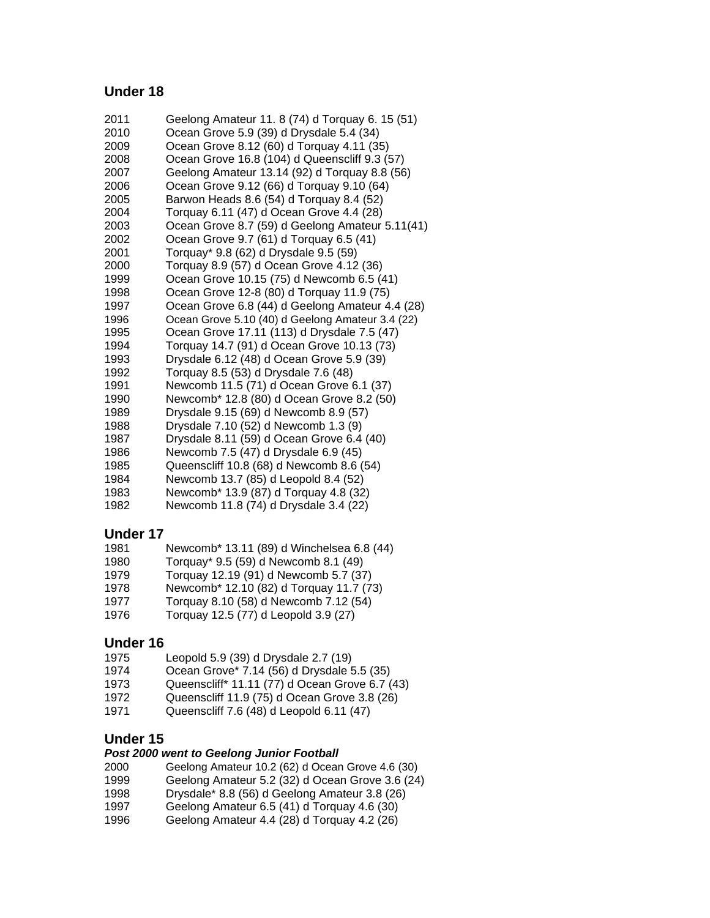#### **Under 18**

- Geelong Amateur 11. 8 (74) d Torquay 6. 15 (51) Ocean Grove 5.9 (39) d Drysdale 5.4 (34) Ocean Grove 8.12 (60) d Torquay 4.11 (35) Ocean Grove 16.8 (104) d Queenscliff 9.3 (57) Geelong Amateur 13.14 (92) d Torquay 8.8 (56) Ocean Grove 9.12 (66) d Torquay 9.10 (64) Barwon Heads 8.6 (54) d Torquay 8.4 (52) Torquay 6.11 (47) d Ocean Grove 4.4 (28) Ocean Grove 8.7 (59) d Geelong Amateur 5.11(41) Ocean Grove 9.7 (61) d Torquay 6.5 (41) Torquay\* 9.8 (62) d Drysdale 9.5 (59) Torquay 8.9 (57) d Ocean Grove 4.12 (36) Ocean Grove 10.15 (75) d Newcomb 6.5 (41) Ocean Grove 12-8 (80) d Torquay 11.9 (75) Ocean Grove 6.8 (44) d Geelong Amateur 4.4 (28) Ocean Grove 5.10 (40) d Geelong Amateur 3.4 (22) Ocean Grove 17.11 (113) d Drysdale 7.5 (47) Torquay 14.7 (91) d Ocean Grove 10.13 (73) Drysdale 6.12 (48) d Ocean Grove 5.9 (39) Torquay 8.5 (53) d Drysdale 7.6 (48) Newcomb 11.5 (71) d Ocean Grove 6.1 (37) Newcomb\* 12.8 (80) d Ocean Grove 8.2 (50) Drysdale 9.15 (69) d Newcomb 8.9 (57) Drysdale 7.10 (52) d Newcomb 1.3 (9) Drysdale 8.11 (59) d Ocean Grove 6.4 (40) Newcomb 7.5 (47) d Drysdale 6.9 (45) Queenscliff 10.8 (68) d Newcomb 8.6 (54) Newcomb 13.7 (85) d Leopold 8.4 (52) Newcomb\* 13.9 (87) d Torquay 4.8 (32)
- Newcomb 11.8 (74) d Drysdale 3.4 (22)

#### **Under 17**

| 1981 |  | Newcomb* 13.11 (89) d Winchelsea 6.8 (44) |  |
|------|--|-------------------------------------------|--|
|------|--|-------------------------------------------|--|

- Torquay\* 9.5 (59) d Newcomb 8.1 (49)
- Torquay 12.19 (91) d Newcomb 5.7 (37)
- Newcomb\* 12.10 (82) d Torquay 11.7 (73)
- Torquay 8.10 (58) d Newcomb 7.12 (54)
- Torquay 12.5 (77) d Leopold 3.9 (27)

#### **Under 16**

- Leopold 5.9 (39) d Drysdale 2.7 (19)
- Ocean Grove\* 7.14 (56) d Drysdale 5.5 (35)
- Queenscliff\* 11.11 (77) d Ocean Grove 6.7 (43)
- Queenscliff 11.9 (75) d Ocean Grove 3.8 (26)
- Queenscliff 7.6 (48) d Leopold 6.11 (47)

#### **Under 15**

#### *Post 2000 went to Geelong Junior Football*

- Geelong Amateur 10.2 (62) d Ocean Grove 4.6 (30)
- Geelong Amateur 5.2 (32) d Ocean Grove 3.6 (24)
- Drysdale\* 8.8 (56) d Geelong Amateur 3.8 (26)
- Geelong Amateur 6.5 (41) d Torquay 4.6 (30)
- Geelong Amateur 4.4 (28) d Torquay 4.2 (26)